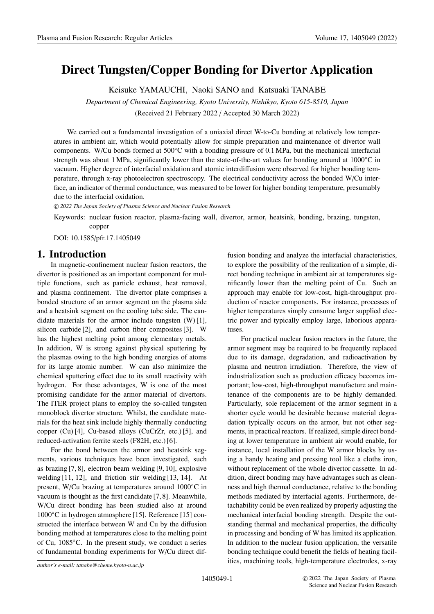# **Direct Tungsten**/**Copper Bonding for Divertor Application**

Keisuke YAMAUCHI, Naoki SANO and Katsuaki TANABE

*Department of Chemical Engineering, Kyoto University, Nishikyo, Kyoto 615-8510, Japan* (Received 21 February 2022 / Accepted 30 March 2022)

We carried out a fundamental investigation of a uniaxial direct W-to-Cu bonding at relatively low temperatures in ambient air, which would potentially allow for simple preparation and maintenance of divertor wall components. W/Cu bonds formed at 500◦C with a bonding pressure of 0.1 MPa, but the mechanical interfacial strength was about 1 MPa, significantly lower than the state-of-the-art values for bonding around at 1000◦C in vacuum. Higher degree of interfacial oxidation and atomic interdiffusion were observed for higher bonding temperature, through x-ray photoelectron spectroscopy. The electrical conductivity across the bonded W/Cu interface, an indicator of thermal conductance, was measured to be lower for higher bonding temperature, presumably due to the interfacial oxidation.

c *2022 The Japan Society of Plasma Science and Nuclear Fusion Research*

Keywords: nuclear fusion reactor, plasma-facing wall, divertor, armor, heatsink, bonding, brazing, tungsten, copper

DOI: 10.1585/pfr.17.1405049

#### **1. Introduction**

In magnetic-confinement nuclear fusion reactors, the divertor is positioned as an important component for multiple functions, such as particle exhaust, heat removal, and plasma confinement. The divertor plate comprises a bonded structure of an armor segment on the plasma side and a heatsink segment on the cooling tube side. The candidate materials for the armor include tungsten (W) [1], silicon carbide [2], and carbon fiber composites [3]. W has the highest melting point among elementary metals. In addition, W is strong against physical sputtering by the plasmas owing to the high bonding energies of atoms for its large atomic number. W can also minimize the chemical sputtering effect due to its small reactivity with hydrogen. For these advantages, W is one of the most promising candidate for the armor material of divertors. The ITER project plans to employ the so-called tungsten monoblock divertor structure. Whilst, the candidate materials for the heat sink include highly thermally conducting copper (Cu) [4], Cu-based alloys (CuCrZr, etc.) [5], and reduced-activation ferrite steels (F82H, etc.) [6].

For the bond between the armor and heatsink segments, various techniques have been investigated, such as brazing [7, 8], electron beam welding [9, 10], explosive welding [11, 12], and friction stir welding [13, 14]. At present, W/Cu brazing at temperatures around 1000◦C in vacuum is thought as the first candidate [7, 8]. Meanwhile, W/Cu direct bonding has been studied also at around 1000◦C in hydrogen atmosphere [15]. Reference [15] constructed the interface between W and Cu by the diffusion bonding method at temperatures close to the melting point of Cu, 1085◦C. In the present study, we conduct a series of fundamental bonding experiments for W/Cu direct diffusion bonding and analyze the interfacial characteristics, to explore the possibility of the realization of a simple, direct bonding technique in ambient air at temperatures significantly lower than the melting point of Cu. Such an approach may enable for low-cost, high-throughput production of reactor components. For instance, processes of higher temperatures simply consume larger supplied electric power and typically employ large, laborious apparatuses.

For practical nuclear fusion reactors in the future, the armor segment may be required to be frequently replaced due to its damage, degradation, and radioactivation by plasma and neutron irradiation. Therefore, the view of industrialization such as production efficacy becomes important; low-cost, high-throughput manufacture and maintenance of the components are to be highly demanded. Particularly, sole replacement of the armor segment in a shorter cycle would be desirable because material degradation typically occurs on the armor, but not other segments, in practical reactors. If realized, simple direct bonding at lower temperature in ambient air would enable, for instance, local installation of the W armor blocks by using a handy heating and pressing tool like a cloths iron, without replacement of the whole divertor cassette. In addition, direct bonding may have advantages such as cleanness and high thermal conductance, relative to the bonding methods mediated by interfacial agents. Furthermore, detachability could be even realized by properly adjusting the mechanical interfacial bonding strength. Despite the outstanding thermal and mechanical properties, the difficulty in processing and bonding of W has limited its application. In addition to the nuclear fusion application, the versatile bonding technique could benefit the fields of heating facilities, machining tools, high-temperature electrodes, x-ray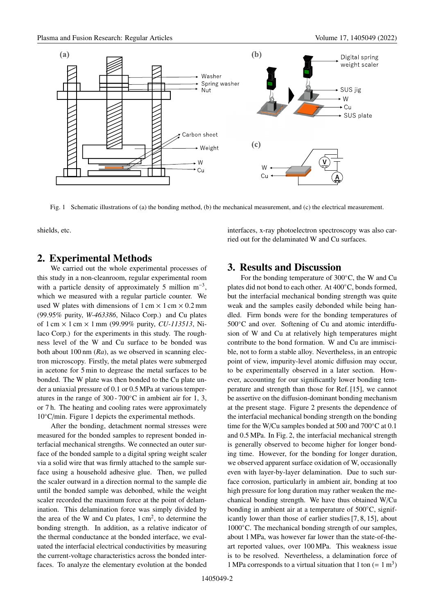

Fig. 1 Schematic illustrations of (a) the bonding method, (b) the mechanical measurement, and (c) the electrical measurement.

shields, etc.

## **2. Experimental Methods**

We carried out the whole experimental processes of this study in a non-cleanroom, regular experimental room with a particle density of approximately 5 million  $m^{-3}$ , which we measured with a regular particle counter. We used W plates with dimensions of  $1 \text{ cm} \times 1 \text{ cm} \times 0.2 \text{ mm}$ (99.95% purity, *W-463386*, Nilaco Corp.) and Cu plates of 1 cm × 1 cm × 1 mm (99.99% purity, *CU-113513*, Nilaco Corp.) for the experiments in this study. The roughness level of the W and Cu surface to be bonded was both about 100 nm (*Ra*), as we observed in scanning electron microscopy. Firstly, the metal plates were submerged in acetone for 5 min to degrease the metal surfaces to be bonded. The W plate was then bonded to the Cu plate under a uniaxial pressure of 0.1 or 0.5 MPa at various temperatures in the range of 300 - 700◦C in ambient air for 1, 3, or 7 h. The heating and cooling rates were approximately 10◦C/min. Figure 1 depicts the experimental methods.

After the bonding, detachment normal stresses were measured for the bonded samples to represent bonded interfacial mechanical strengths. We connected an outer surface of the bonded sample to a digital spring weight scaler via a solid wire that was firmly attached to the sample surface using a household adhesive glue. Then, we pulled the scaler outward in a direction normal to the sample die until the bonded sample was debonbed, while the weight scaler recorded the maximum force at the point of delamination. This delamination force was simply divided by the area of the W and Cu plates,  $1 \text{ cm}^2$ , to determine the bonding strength. In addition, as a relative indicator of the thermal conductance at the bonded interface, we evaluated the interfacial electrical conductivities by measuring the current-voltage characteristics across the bonded interfaces. To analyze the elementary evolution at the bonded interfaces, x-ray photoelectron spectroscopy was also carried out for the delaminated W and Cu surfaces.

## **3. Results and Discussion**

For the bonding temperature of 300◦C, the W and Cu plates did not bond to each other. At 400◦C, bonds formed, but the interfacial mechanical bonding strength was quite weak and the samples easily debonded while being handled. Firm bonds were for the bonding temperatures of 500◦C and over. Softening of Cu and atomic interdiffusion of W and Cu at relatively high temperatures might contribute to the bond formation. W and Cu are immiscible, not to form a stable alloy. Nevertheless, in an entropic point of view, impurity-level atomic diffusion may occur, to be experimentally observed in a later section. However, accounting for our significantly lower bonding temperature and strength than those for Ref. [15], we cannot be assertive on the diffusion-dominant bonding mechanism at the present stage. Figure 2 presents the dependence of the interfacial mechanical bonding strength on the bonding time for the W/Cu samples bonded at 500 and 700◦C at 0.1 and 0.5 MPa. In Fig. 2, the interfacial mechanical strength is generally observed to become higher for longer bonding time. However, for the bonding for longer duration, we observed apparent surface oxidation of W, occasionally even with layer-by-layer delamination. Due to such surface corrosion, particularly in ambient air, bonding at too high pressure for long duration may rather weaken the mechanical bonding strength. We have thus obtained W/Cu bonding in ambient air at a temperature of 500◦C, significantly lower than those of earlier studies [7, 8, 15], about 1000◦C. The mechanical bonding strength of our samples, about 1 MPa, was however far lower than the state-of-theart reported values, over 100 MPa. This weakness issue is to be resolved. Nevertheless, a delamination force of 1 MPa corresponds to a virtual situation that 1 ton  $(= 1 \text{ m}^3)$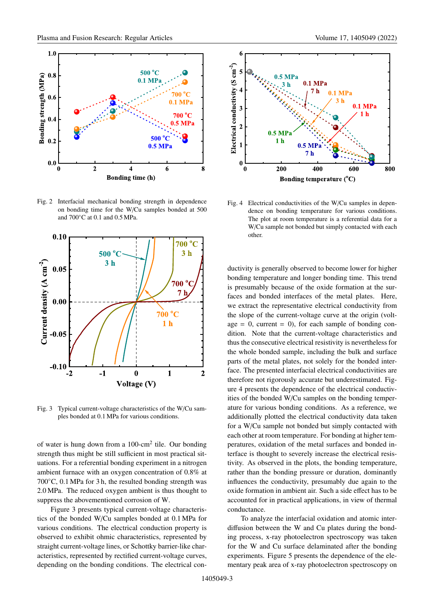

Fig. 2 Interfacial mechanical bonding strength in dependence on bonding time for the W/Cu samples bonded at 500 and 700◦C at 0.1 and 0.5 MPa.



Fig. 3 Typical current-voltage characteristics of the W/Cu samples bonded at 0.1 MPa for various conditions.

of water is hung down from a  $100$ -cm<sup>2</sup> tile. Our bonding strength thus might be still sufficient in most practical situations. For a referential bonding experiment in a nitrogen ambient furnace with an oxygen concentration of 0.8% at 700◦C, 0.1 MPa for 3 h, the resulted bonding strength was 2.0 MPa. The reduced oxygen ambient is thus thought to suppress the abovementioned corrosion of W.

Figure 3 presents typical current-voltage characteristics of the bonded W/Cu samples bonded at 0.1 MPa for various conditions. The electrical conduction property is observed to exhibit ohmic characteristics, represented by straight current-voltage lines, or Schottky barrier-like characteristics, represented by rectified current-voltage curves, depending on the bonding conditions. The electrical con-



Fig. 4 Electrical conductivities of the W/Cu samples in dependence on bonding temperature for various conditions. The plot at room temperature is a referential data for a W/Cu sample not bonded but simply contacted with each other.

ductivity is generally observed to become lower for higher bonding temperature and longer bonding time. This trend is presumably because of the oxide formation at the surfaces and bonded interfaces of the metal plates. Here, we extract the representative electrical conductivity from the slope of the current-voltage curve at the origin (voltage = 0, current = 0), for each sample of bonding condition. Note that the current-voltage characteristics and thus the consecutive electrical resistivity is nevertheless for the whole bonded sample, including the bulk and surface parts of the metal plates, not solely for the bonded interface. The presented interfacial electrical conductivities are therefore not rigorously accurate but underestimated. Figure 4 presents the dependence of the electrical conductivities of the bonded W/Cu samples on the bonding temperature for various bonding conditions. As a reference, we additionally plotted the electrical conductivity data taken for a W/Cu sample not bonded but simply contacted with each other at room temperature. For bonding at higher temperatures, oxidation of the metal surfaces and bonded interface is thought to severely increase the electrical resistivity. As observed in the plots, the bonding temperature, rather than the bonding pressure or duration, dominantly influences the conductivity, presumably due again to the oxide formation in ambient air. Such a side effect has to be accounted for in practical applications, in view of thermal conductance.

To analyze the interfacial oxidation and atomic interdiffusion between the W and Cu plates during the bonding process, x-ray photoelectron spectroscopy was taken for the W and Cu surface delaminated after the bonding experiments. Figure 5 presents the dependence of the elementary peak area of x-ray photoelectron spectroscopy on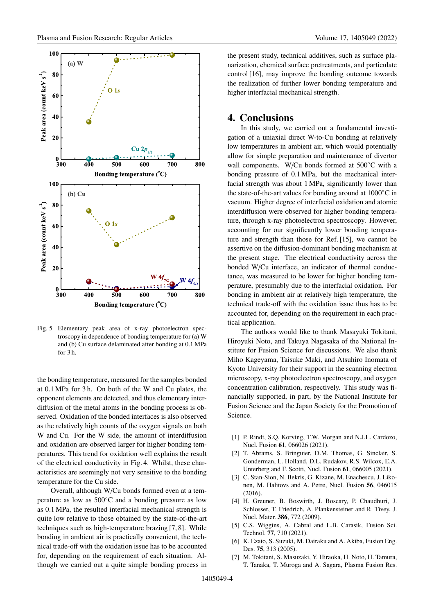

Fig. 5 Elementary peak area of x-ray photoelectron spectroscopy in dependence of bonding temperature for (a) W and (b) Cu surface delaminated after bonding at 0.1 MPa for 3 h.

the bonding temperature, measured for the samples bonded at 0.1 MPa for 3 h. On both of the W and Cu plates, the opponent elements are detected, and thus elementary interdiffusion of the metal atoms in the bonding process is observed. Oxidation of the bonded interfaces is also observed as the relatively high counts of the oxygen signals on both W and Cu. For the W side, the amount of interdiffusion and oxidation are observed larger for higher bonding temperatures. This trend for oxidation well explains the result of the electrical conductivity in Fig. 4. Whilst, these characteristics are seemingly not very sensitive to the bonding temperature for the Cu side.

Overall, although W/Cu bonds formed even at a temperature as low as 500◦C and a bonding pressure as low as 0.1 MPa, the resulted interfacial mechanical strength is quite low relative to those obtained by the state-of-the-art techniques such as high-temperature brazing [7, 8]. While bonding in ambient air is practically convenient, the technical trade-off with the oxidation issue has to be accounted for, depending on the requirement of each situation. Although we carried out a quite simple bonding process in the present study, technical additives, such as surface planarization, chemical surface pretreatments, and particulate control [16], may improve the bonding outcome towards the realization of further lower bonding temperature and higher interfacial mechanical strength.

#### **4. Conclusions**

In this study, we carried out a fundamental investigation of a uniaxial direct W-to-Cu bonding at relatively low temperatures in ambient air, which would potentially allow for simple preparation and maintenance of divertor wall components. W/Cu bonds formed at 500◦C with a bonding pressure of 0.1 MPa, but the mechanical interfacial strength was about 1 MPa, significantly lower than the state-of-the-art values for bonding around at 1000◦C in vacuum. Higher degree of interfacial oxidation and atomic interdiffusion were observed for higher bonding temperature, through x-ray photoelectron spectroscopy. However, accounting for our significantly lower bonding temperature and strength than those for Ref. [15], we cannot be assertive on the diffusion-dominant bonding mechanism at the present stage. The electrical conductivity across the bonded W/Cu interface, an indicator of thermal conductance, was measured to be lower for higher bonding temperature, presumably due to the interfacial oxidation. For bonding in ambient air at relatively high temperature, the technical trade-off with the oxidation issue thus has to be accounted for, depending on the requirement in each practical application.

The authors would like to thank Masayuki Tokitani, Hiroyuki Noto, and Takuya Nagasaka of the National Institute for Fusion Science for discussions. We also thank Miho Kageyama, Taisuke Maki, and Atsuhiro Inomata of Kyoto University for their support in the scanning electron microscopy, x-ray photoelectron spectroscopy, and oxygen concentration calibration, respectively. This study was financially supported, in part, by the National Institute for Fusion Science and the Japan Society for the Promotion of Science.

- [1] P. Rindt, S.Q. Korving, T.W. Morgan and N.J.L. Cardozo, Nucl. Fusion **61**, 066026 (2021).
- [2] T. Abrams, S. Bringuier, D.M. Thomas, G. Sinclair, S. Gonderman, L. Holland, D.L. Rudakov, R.S. Wilcox, E.A. Unterberg and F. Scotti, Nucl. Fusion **61**, 066005 (2021).
- [3] C. Stan-Sion, N. Bekris, G. Kizane, M. Enachescu, J. Likonen, M. Halitovs and A. Petre, Nucl. Fusion **56**, 046015 (2016).
- [4] H. Greuner, B. Boswirth, J. Boscary, P. Chaudhuri, J. Schlosser, T. Friedrich, A. Plankensteiner and R. Tivey, J. Nucl. Mater. **386**, 772 (2009).
- [5] C.S. Wiggins, A. Cabral and L.B. Carasik, Fusion Sci. Technol. **77**, 710 (2021).
- [6] K. Ezato, S. Suzuki, M. Dairaku and A. Akiba, Fusion Eng. Des. **75**, 313 (2005).
- [7] M. Tokitani, S. Masuzaki, Y. Hiraoka, H. Noto, H. Tamura, T. Tanaka, T. Muroga and A. Sagara, Plasma Fusion Res.